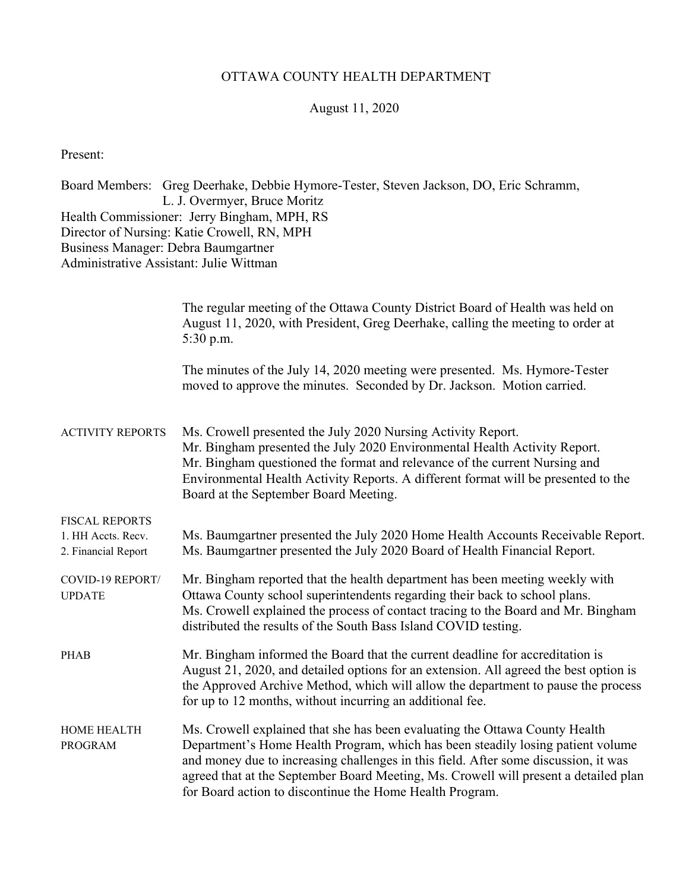## OTTAWA COUNTY HEALTH DEPARTMENT

## August 11, 2020

Present:

| Business Manager: Debra Baumgartner<br>Administrative Assistant: Julie Wittman | Board Members: Greg Deerhake, Debbie Hymore-Tester, Steven Jackson, DO, Eric Schramm,<br>L. J. Overmyer, Bruce Moritz<br>Health Commissioner: Jerry Bingham, MPH, RS<br>Director of Nursing: Katie Crowell, RN, MPH                                                                                                                                                                                       |
|--------------------------------------------------------------------------------|-----------------------------------------------------------------------------------------------------------------------------------------------------------------------------------------------------------------------------------------------------------------------------------------------------------------------------------------------------------------------------------------------------------|
|                                                                                | The regular meeting of the Ottawa County District Board of Health was held on<br>August 11, 2020, with President, Greg Deerhake, calling the meeting to order at<br>$5:30$ p.m.                                                                                                                                                                                                                           |
|                                                                                | The minutes of the July 14, 2020 meeting were presented. Ms. Hymore-Tester<br>moved to approve the minutes. Seconded by Dr. Jackson. Motion carried.                                                                                                                                                                                                                                                      |
| <b>ACTIVITY REPORTS</b>                                                        | Ms. Crowell presented the July 2020 Nursing Activity Report.<br>Mr. Bingham presented the July 2020 Environmental Health Activity Report.<br>Mr. Bingham questioned the format and relevance of the current Nursing and<br>Environmental Health Activity Reports. A different format will be presented to the<br>Board at the September Board Meeting.                                                    |
| <b>FISCAL REPORTS</b><br>1. HH Accts. Recv.<br>2. Financial Report             | Ms. Baumgartner presented the July 2020 Home Health Accounts Receivable Report.<br>Ms. Baumgartner presented the July 2020 Board of Health Financial Report.                                                                                                                                                                                                                                              |
| COVID-19 REPORT/<br><b>UPDATE</b>                                              | Mr. Bingham reported that the health department has been meeting weekly with<br>Ottawa County school superintendents regarding their back to school plans.<br>Ms. Crowell explained the process of contact tracing to the Board and Mr. Bingham<br>distributed the results of the South Bass Island COVID testing.                                                                                        |
| <b>PHAB</b>                                                                    | Mr. Bingham informed the Board that the current deadline for accreditation is<br>August 21, 2020, and detailed options for an extension. All agreed the best option is<br>the Approved Archive Method, which will allow the department to pause the process<br>for up to 12 months, without incurring an additional fee.                                                                                  |
| HOME HEALTH<br><b>PROGRAM</b>                                                  | Ms. Crowell explained that she has been evaluating the Ottawa County Health<br>Department's Home Health Program, which has been steadily losing patient volume<br>and money due to increasing challenges in this field. After some discussion, it was<br>agreed that at the September Board Meeting, Ms. Crowell will present a detailed plan<br>for Board action to discontinue the Home Health Program. |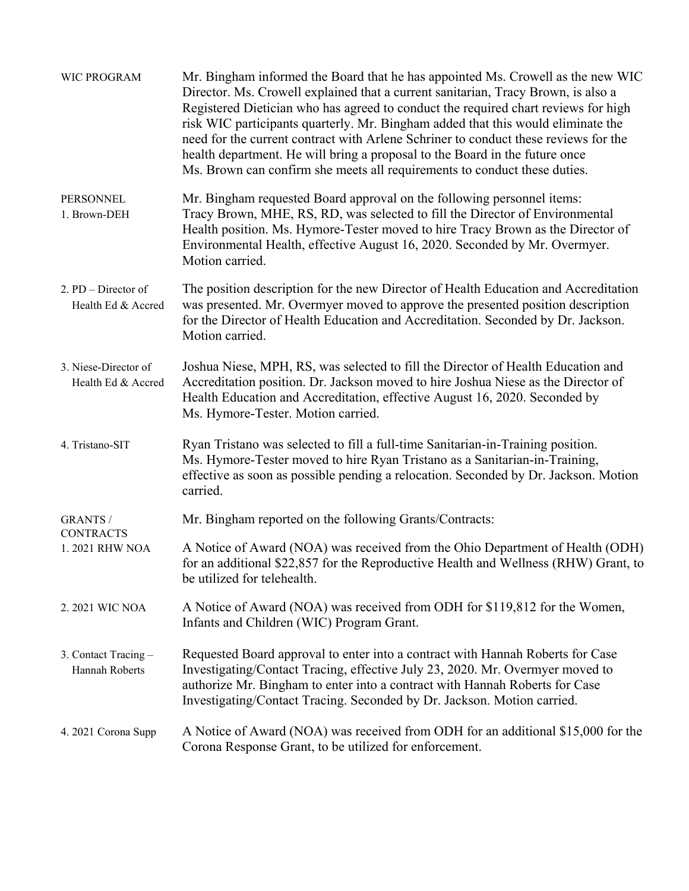| WIC PROGRAM                                           | Mr. Bingham informed the Board that he has appointed Ms. Crowell as the new WIC<br>Director. Ms. Crowell explained that a current sanitarian, Tracy Brown, is also a<br>Registered Dietician who has agreed to conduct the required chart reviews for high<br>risk WIC participants quarterly. Mr. Bingham added that this would eliminate the<br>need for the current contract with Arlene Schriner to conduct these reviews for the<br>health department. He will bring a proposal to the Board in the future once<br>Ms. Brown can confirm she meets all requirements to conduct these duties. |
|-------------------------------------------------------|---------------------------------------------------------------------------------------------------------------------------------------------------------------------------------------------------------------------------------------------------------------------------------------------------------------------------------------------------------------------------------------------------------------------------------------------------------------------------------------------------------------------------------------------------------------------------------------------------|
| <b>PERSONNEL</b><br>1. Brown-DEH                      | Mr. Bingham requested Board approval on the following personnel items:<br>Tracy Brown, MHE, RS, RD, was selected to fill the Director of Environmental<br>Health position. Ms. Hymore-Tester moved to hire Tracy Brown as the Director of<br>Environmental Health, effective August 16, 2020. Seconded by Mr. Overmyer.<br>Motion carried.                                                                                                                                                                                                                                                        |
| 2. PD - Director of<br>Health Ed & Accred             | The position description for the new Director of Health Education and Accreditation<br>was presented. Mr. Overmyer moved to approve the presented position description<br>for the Director of Health Education and Accreditation. Seconded by Dr. Jackson.<br>Motion carried.                                                                                                                                                                                                                                                                                                                     |
| 3. Niese-Director of<br>Health Ed & Accred            | Joshua Niese, MPH, RS, was selected to fill the Director of Health Education and<br>Accreditation position. Dr. Jackson moved to hire Joshua Niese as the Director of<br>Health Education and Accreditation, effective August 16, 2020. Seconded by<br>Ms. Hymore-Tester. Motion carried.                                                                                                                                                                                                                                                                                                         |
| 4. Tristano-SIT                                       | Ryan Tristano was selected to fill a full-time Sanitarian-in-Training position.<br>Ms. Hymore-Tester moved to hire Ryan Tristano as a Sanitarian-in-Training,<br>effective as soon as possible pending a relocation. Seconded by Dr. Jackson. Motion<br>carried.                                                                                                                                                                                                                                                                                                                                  |
| <b>GRANTS /</b><br><b>CONTRACTS</b><br>1.2021 RHW NOA | Mr. Bingham reported on the following Grants/Contracts:                                                                                                                                                                                                                                                                                                                                                                                                                                                                                                                                           |
|                                                       | A Notice of Award (NOA) was received from the Ohio Department of Health (ODH)<br>for an additional \$22,857 for the Reproductive Health and Wellness (RHW) Grant, to<br>be utilized for telehealth.                                                                                                                                                                                                                                                                                                                                                                                               |
| 2. 2021 WIC NOA                                       | A Notice of Award (NOA) was received from ODH for \$119,812 for the Women,<br>Infants and Children (WIC) Program Grant.                                                                                                                                                                                                                                                                                                                                                                                                                                                                           |
| 3. Contact Tracing -<br>Hannah Roberts                | Requested Board approval to enter into a contract with Hannah Roberts for Case<br>Investigating/Contact Tracing, effective July 23, 2020. Mr. Overmyer moved to<br>authorize Mr. Bingham to enter into a contract with Hannah Roberts for Case<br>Investigating/Contact Tracing. Seconded by Dr. Jackson. Motion carried.                                                                                                                                                                                                                                                                         |
| 4. 2021 Corona Supp                                   | A Notice of Award (NOA) was received from ODH for an additional \$15,000 for the<br>Corona Response Grant, to be utilized for enforcement.                                                                                                                                                                                                                                                                                                                                                                                                                                                        |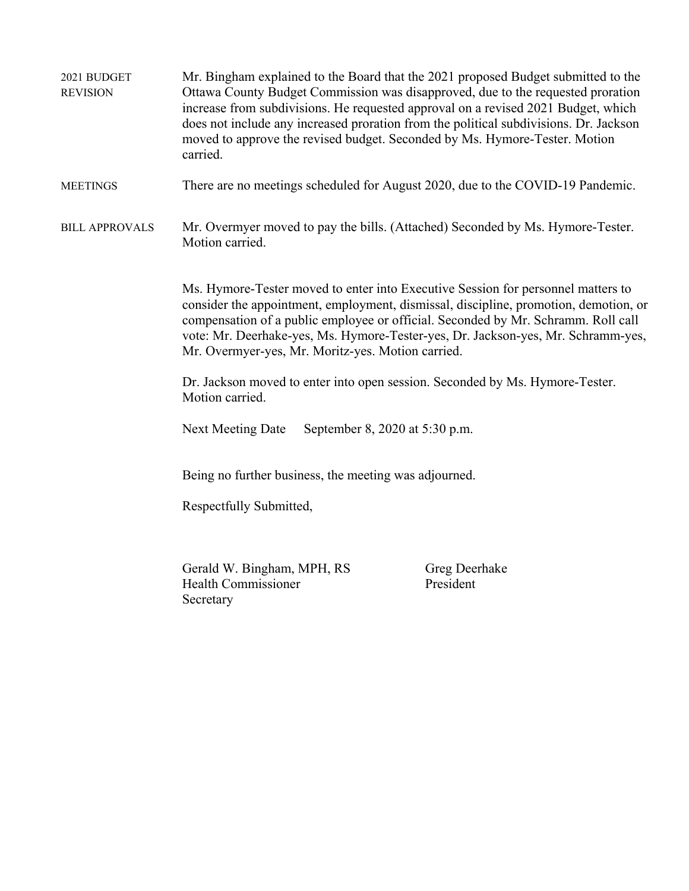2021 BUDGET Mr. Bingham explained to the Board that the 2021 proposed Budget submitted to the REVISION Ottawa County Budget Commission was disapproved, due to the requested proration increase from subdivisions. He requested approval on a revised 2021 Budget, which does not include any increased proration from the political subdivisions. Dr. Jackson moved to approve the revised budget. Seconded by Ms. Hymore-Tester. Motion carried. MEETINGS There are no meetings scheduled for August 2020, due to the COVID-19 Pandemic. BILL APPROVALS Mr. Overmyer moved to pay the bills. (Attached) Seconded by Ms. Hymore-Tester. Motion carried. Ms. Hymore-Tester moved to enter into Executive Session for personnel matters to consider the appointment, employment, dismissal, discipline, promotion, demotion, or compensation of a public employee or official. Seconded by Mr. Schramm. Roll call vote: Mr. Deerhake-yes, Ms. Hymore-Tester-yes, Dr. Jackson-yes, Mr. Schramm-yes, Mr. Overmyer-yes, Mr. Moritz-yes. Motion carried. Dr. Jackson moved to enter into open session. Seconded by Ms. Hymore-Tester. Motion carried. Next Meeting Date September 8, 2020 at 5:30 p.m. Being no further business, the meeting was adjourned. Respectfully Submitted, Gerald W. Bingham, MPH, RS Greg Deerhake Health Commissioner President Secretary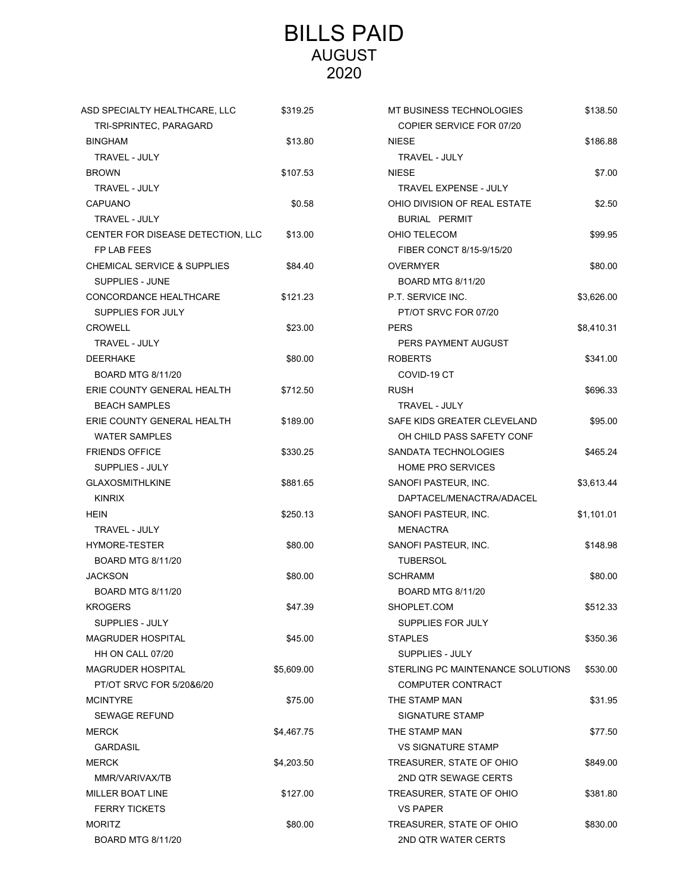## BILLS PAID AUGUST 2020

| ASD SPECIALTY HEALTHCARE, LLC          | \$319.25   | MT BUSINESS TECHNOLOGIES          | \$138.50   |
|----------------------------------------|------------|-----------------------------------|------------|
| TRI-SPRINTEC, PARAGARD                 |            | COPIER SERVICE FOR 07/20          |            |
| <b>BINGHAM</b>                         | \$13.80    | <b>NIESE</b>                      | \$186.88   |
| <b>TRAVEL - JULY</b>                   |            | TRAVEL - JULY                     |            |
| <b>BROWN</b>                           | \$107.53   | <b>NIESE</b>                      | \$7.00     |
| <b>TRAVEL - JULY</b>                   |            | TRAVEL EXPENSE - JULY             |            |
| <b>CAPUANO</b>                         | \$0.58     | OHIO DIVISION OF REAL ESTATE      | \$2.50     |
| TRAVEL - JULY                          |            | BURIAL PERMIT                     |            |
| CENTER FOR DISEASE DETECTION, LLC      | \$13.00    | OHIO TELECOM                      | \$99.95    |
| FP LAB FEES                            |            | FIBER CONCT 8/15-9/15/20          |            |
| <b>CHEMICAL SERVICE &amp; SUPPLIES</b> | \$84.40    | <b>OVERMYER</b>                   | \$80.00    |
| SUPPLIES - JUNE                        |            | <b>BOARD MTG 8/11/20</b>          |            |
| CONCORDANCE HEALTHCARE                 | \$121.23   | P.T. SERVICE INC.                 | \$3,626.00 |
| SUPPLIES FOR JULY                      |            | PT/OT SRVC FOR 07/20              |            |
| <b>CROWELL</b>                         | \$23.00    | <b>PERS</b>                       | \$8,410.31 |
| TRAVEL - JULY                          |            | PERS PAYMENT AUGUST               |            |
| <b>DEERHAKE</b>                        | \$80.00    | <b>ROBERTS</b>                    | \$341.00   |
| <b>BOARD MTG 8/11/20</b>               |            | COVID-19 CT                       |            |
| ERIE COUNTY GENERAL HEALTH             | \$712.50   | <b>RUSH</b>                       | \$696.33   |
| <b>BEACH SAMPLES</b>                   |            | TRAVEL - JULY                     |            |
| ERIE COUNTY GENERAL HEALTH             | \$189.00   | SAFE KIDS GREATER CLEVELAND       | \$95.00    |
| <b>WATER SAMPLES</b>                   |            | OH CHILD PASS SAFETY CONF         |            |
| <b>FRIENDS OFFICE</b>                  | \$330.25   | SANDATA TECHNOLOGIES              | \$465.24   |
| SUPPLIES - JULY                        |            | <b>HOME PRO SERVICES</b>          |            |
| <b>GLAXOSMITHLKINE</b>                 | \$881.65   | SANOFI PASTEUR, INC.              | \$3,613.44 |
| <b>KINRIX</b>                          |            | DAPTACEL/MENACTRA/ADACEL          |            |
| <b>HEIN</b>                            | \$250.13   | SANOFI PASTEUR, INC.              | \$1,101.01 |
| TRAVEL - JULY                          |            | <b>MENACTRA</b>                   |            |
| HYMORE-TESTER                          | \$80.00    | SANOFI PASTEUR, INC.              | \$148.98   |
| <b>BOARD MTG 8/11/20</b>               |            | <b>TUBERSOL</b>                   |            |
| <b>JACKSON</b>                         | \$80.00    | <b>SCHRAMM</b>                    | \$80.00    |
| <b>BOARD MTG 8/11/20</b>               |            | <b>BOARD MTG 8/11/20</b>          |            |
| <b>KROGERS</b>                         | \$47.39    | SHOPLET.COM                       | \$512.33   |
| <b>SUPPLIES - JULY</b>                 |            | SUPPLIES FOR JULY                 |            |
| <b>MAGRUDER HOSPITAL</b>               | \$45.00    | <b>STAPLES</b>                    | \$350.36   |
| HH ON CALL 07/20                       |            | SUPPLIES - JULY                   |            |
| <b>MAGRUDER HOSPITAL</b>               | \$5,609.00 | STERLING PC MAINTENANCE SOLUTIONS | \$530.00   |
| PT/OT SRVC FOR 5/20&6/20               |            | COMPUTER CONTRACT                 |            |
| <b>MCINTYRE</b>                        | \$75.00    | THE STAMP MAN                     | \$31.95    |
| <b>SEWAGE REFUND</b>                   |            | SIGNATURE STAMP                   |            |
| <b>MERCK</b>                           | \$4,467.75 | THE STAMP MAN                     | \$77.50    |
| <b>GARDASIL</b>                        |            | <b>VS SIGNATURE STAMP</b>         |            |
| <b>MERCK</b>                           | \$4,203.50 | TREASURER, STATE OF OHIO          | \$849.00   |
| MMR/VARIVAX/TB                         |            | 2ND QTR SEWAGE CERTS              |            |
| <b>MILLER BOAT LINE</b>                | \$127.00   | TREASURER, STATE OF OHIO          | \$381.80   |
| <b>FERRY TICKETS</b>                   |            | <b>VS PAPER</b>                   |            |
| <b>MORITZ</b>                          | \$80.00    | TREASURER, STATE OF OHIO          | \$830.00   |
| <b>BOARD MTG 8/11/20</b>               |            | 2ND QTR WATER CERTS               |            |